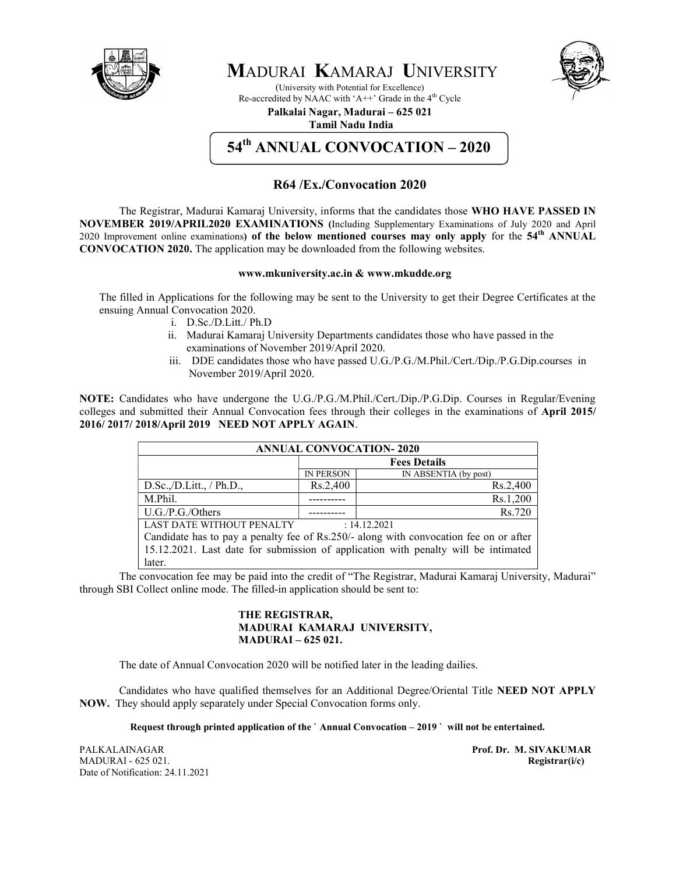

# MADURAI KAMARAJ UNIVERSITY

(University with Potential for Excellence) Re-accredited by NAAC with 'A++' Grade in the  $4<sup>th</sup>$  Cycle



# Palkalai Nagar, Madurai – 625 021

Tamil Nadu India

# 54<sup>th</sup> ANNUAL CONVOCATION – 2020

### R64 /Ex./Convocation 2020

The Registrar, Madurai Kamaraj University, informs that the candidates those WHO HAVE PASSED IN NOVEMBER 2019/APRIL2020 EXAMINATIONS (Including Supplementary Examinations of July 2020 and April 2020 Improvement online examinations) of the below mentioned courses may only apply for the  $54<sup>th</sup>$  ANNUAL CONVOCATION 2020. The application may be downloaded from the following websites.

#### www.mkuniversity.ac.in & www.mkudde.org

The filled in Applications for the following may be sent to the University to get their Degree Certificates at the ensuing Annual Convocation 2020.

- i. D.Sc./D.Litt./ Ph.D
- ii. Madurai Kamaraj University Departments candidates those who have passed in the examinations of November 2019/April 2020.
- iii. DDE candidates those who have passed U.G./P.G./M.Phil./Cert./Dip./P.G.Dip.courses in November 2019/April 2020.

NOTE: Candidates who have undergone the U.G./P.G./M.Phil./Cert./Dip./P.G.Dip. Courses in Regular/Evening colleges and submitted their Annual Convocation fees through their colleges in the examinations of April 2015/ 2016/ 2017/ 2018/April 2019 NEED NOT APPLY AGAIN.

| <b>ANNUAL CONVOCATION-2020</b>                                                                                                                                             |                  |                       |
|----------------------------------------------------------------------------------------------------------------------------------------------------------------------------|------------------|-----------------------|
|                                                                                                                                                                            |                  | <b>Fees Details</b>   |
|                                                                                                                                                                            | <b>IN PERSON</b> | IN ABSENTIA (by post) |
| D.Sc.,/D.Litt., / Ph.D.,                                                                                                                                                   | Rs.2,400         | Rs.2,400              |
| M.Phil.                                                                                                                                                                    |                  | Rs.1,200              |
| U.G./P.G./Others                                                                                                                                                           |                  | Rs.720                |
| <b>LAST DATE WITHOUT PENALTY</b>                                                                                                                                           |                  | : 14.12.2021          |
| Candidate has to pay a penalty fee of Rs.250/- along with convocation fee on or after<br>15.12.2021. Lest data for submission of epplication with people will be intimeted |                  |                       |

15.12.2021. Last date for submission of application with penalty will be intimated later.

The convocation fee may be paid into the credit of "The Registrar, Madurai Kamaraj University, Madurai" through SBI Collect online mode. The filled-in application should be sent to:

#### THE REGISTRAR, MADURAI KAMARAJ UNIVERSITY, MADURAI – 625 021.

The date of Annual Convocation 2020 will be notified later in the leading dailies.

Candidates who have qualified themselves for an Additional Degree/Oriental Title NEED NOT APPLY NOW. They should apply separately under Special Convocation forms only.

Request through printed application of the ` Annual Convocation – 2019 ` will not be entertained.

PALKALAINAGAR **PALKALAINAGAR** Prof. Dr. M. SIVAKUMAR MADURAI - 625 021. Registrar(i/c) Date of Notification: 24.11.2021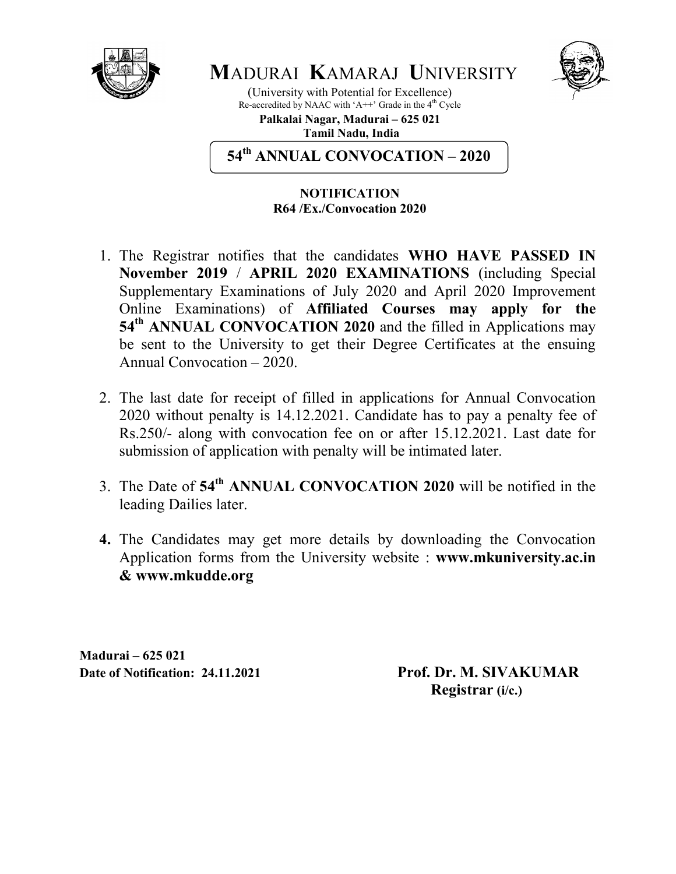



(University with Potential for Excellence) Re-accredited by NAAC with 'A++' Grade in the  $4<sup>th</sup>$  Cycle

Palkalai Nagar, Madurai – 625 021 Tamil Nadu, India

54<sup>th</sup> ANNUAL CONVOCATION – 2020

## NOTIFICATION R64 /Ex./Convocation 2020

- 1. The Registrar notifies that the candidates WHO HAVE PASSED IN November 2019 / APRIL 2020 EXAMINATIONS (including Special Supplementary Examinations of July 2020 and April 2020 Improvement Online Examinations) of Affiliated Courses may apply for the 54<sup>th</sup> ANNUAL CONVOCATION 2020 and the filled in Applications may be sent to the University to get their Degree Certificates at the ensuing Annual Convocation – 2020.
- 2. The last date for receipt of filled in applications for Annual Convocation 2020 without penalty is 14.12.2021. Candidate has to pay a penalty fee of Rs.250/- along with convocation fee on or after 15.12.2021. Last date for submission of application with penalty will be intimated later.
- 3. The Date of 54<sup>th</sup> ANNUAL CONVOCATION 2020 will be notified in the leading Dailies later.
- 4. The Candidates may get more details by downloading the Convocation Application forms from the University website : www.mkuniversity.ac.in & www.mkudde.org

Madurai – 625 021

Date of Notification: 24.11.2021 Prof. Dr. M. SIVAKUMAR Registrar (i/c.)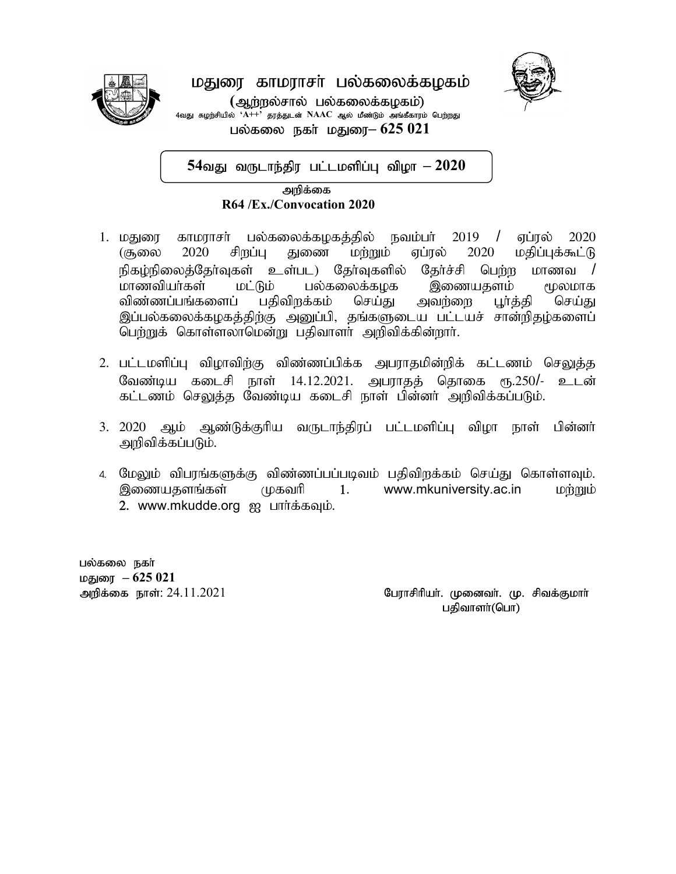

# மதுரை காமராசா் பல்கலைக்கழகம் (ஆற்றல்சால் பல்கலைக்கழகம்) து சுழற்சியில் ' $\overline{A^{++}}$ ' தரத்துடன்  $\mathrm{NAAC}$  ஆல் மீண்டும் அங்கீகாரம் பெற்றது

பல்கலை நகர் மதுரை $-625021$ 

 $54$ வது வருடாந்திர பட்டமளிப்பு விழா  $-2020$ 

 mwpf;if 22202220192019 201 22222019R64 /Ex./Convocation 2020

J.

- 1. மதுரை காமராசர் பல்கலைக்கழகத்தில் நவம்பர் 2019 / ஏப்ரல் 2020  $($ சூலை 2020 சிறப்பு துணை மற்றும் ஏப்ரல் 2020 மதிப்புக்கூட்டு நிகழ்நிலைத்தேர்வுகள் உள்பட) தேர்வுகளில் தேர்ச்சி பெற்ற மாணவ /<br>மாணவியர்கள் மட்டும் பல்கலைக்கமக இணையகளம் மூலமாக மட்டும் பல்கலைக்கழக இணையதளம் மூலமாக<br>ப பகிவிறக்கம் செய்து அவர்ளை புர்க்கி செய்து விண்ணப்பங்களைப் பகிவிரக்கம் செய்கு அவர்ளை பூர்க்கி செய்து இப்பல்கலைக்கழகத்திற்கு அனுப்பி, தங்களுடைய பட்டயச் சான்றிதழ்களைப் பெற்றுக் கொள்ளலாமென்று பதிவாளர் அறிவிக்கின்றார்.
- 2. பட்டமளிப்பு விழாவிற்கு விண்ணப்பிக்க அபராதமின்றிக் கட்டணம் செலுத்த வேண்டிய கடைசி நாள் 14.12.2021. அபராதத் தொகை ரூ.250/- உடன் கட்டணம் செலுத்த வேண்டிய கடைசி நாள் பின்னா் அறிவிக்கப்படும்.
- 3. 2020 ஆம் ஆண்டுக்குரிய வருடாந்திரப் பட்டமளிப்பு விழா நாள் பின்னர் அறிவிக்கப்படும்.
- 4. மேலும் விபரங்களுக்கு விண்ணப்பப்படிவம் பதிவிறக்கம் செய்து கொள்ளவும். இணையதளங்கள் முகவரி 1. www.mkuniversity.ac.in மற்றும் 2. www.mkudde.org ஐ பார்க்கவும்.

பல்கலை நகா் மதுரை  $-625021$ 

அறிக்கை நாள்:  $24.11.2021$   $\blacksquare$  பேராசிரியர். முனைவர். மு. சிவக்குமார் பதிவாளா்(பொ)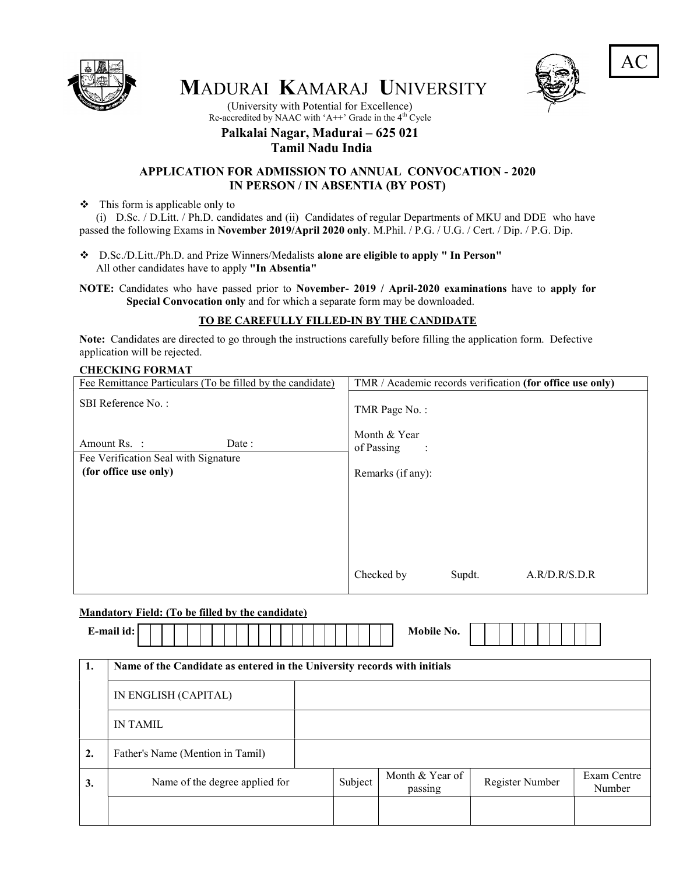

MADURAI KAMARAJ UNIVERSITY



AC

(University with Potential for Excellence) Re-accredited by NAAC with 'A++' Grade in the  $4<sup>th</sup>$  Cycle

### Palkalai Nagar, Madurai – 625 021 Tamil Nadu India

#### APPLICATION FOR ADMISSION TO ANNUAL CONVOCATION - 2020 IN PERSON / IN ABSENTIA (BY POST)

 $\div$  This form is applicable only to

 (i) D.Sc. / D.Litt. / Ph.D. candidates and (ii) Candidates of regular Departments of MKU and DDE who have passed the following Exams in November 2019/April 2020 only. M.Phil. / P.G. / U.G. / Cert. / Dip. / P.G. Dip.

 D.Sc./D.Litt./Ph.D. and Prize Winners/Medalists alone are eligible to apply " In Person" All other candidates have to apply "In Absentia"

NOTE: Candidates who have passed prior to November- 2019 / April-2020 examinations have to apply for Special Convocation only and for which a separate form may be downloaded.

#### TO BE CAREFULLY FILLED-IN BY THE CANDIDATE

Note: Candidates are directed to go through the instructions carefully before filling the application form. Defective application will be rejected.

#### CHECKING FORMAT

| Fee Remittance Particulars (To be filled by the candidate)                             | TMR / Academic records verification (for office use only)   |
|----------------------------------------------------------------------------------------|-------------------------------------------------------------|
| SBI Reference No.:                                                                     | TMR Page No.:                                               |
| Date:<br>Amount Rs. :<br>Fee Verification Seal with Signature<br>(for office use only) | Month & Year<br>of Passing<br>$\sim$ 1<br>Remarks (if any): |
|                                                                                        | Checked by<br>A.R/D.R/S.D.R<br>Supdt.                       |

Mandatory Field: (To be filled by the candidate)

| E-mail id: |                                                                          |  |         | Mobile No.                 |                 |                       |
|------------|--------------------------------------------------------------------------|--|---------|----------------------------|-----------------|-----------------------|
| 1.         | Name of the Candidate as entered in the University records with initials |  |         |                            |                 |                       |
|            | IN ENGLISH (CAPITAL)                                                     |  |         |                            |                 |                       |
|            | <b>IN TAMIL</b>                                                          |  |         |                            |                 |                       |
| 2.         | Father's Name (Mention in Tamil)                                         |  |         |                            |                 |                       |
| 3.         | Name of the degree applied for                                           |  | Subject | Month & Year of<br>passing | Register Number | Exam Centre<br>Number |
|            |                                                                          |  |         |                            |                 |                       |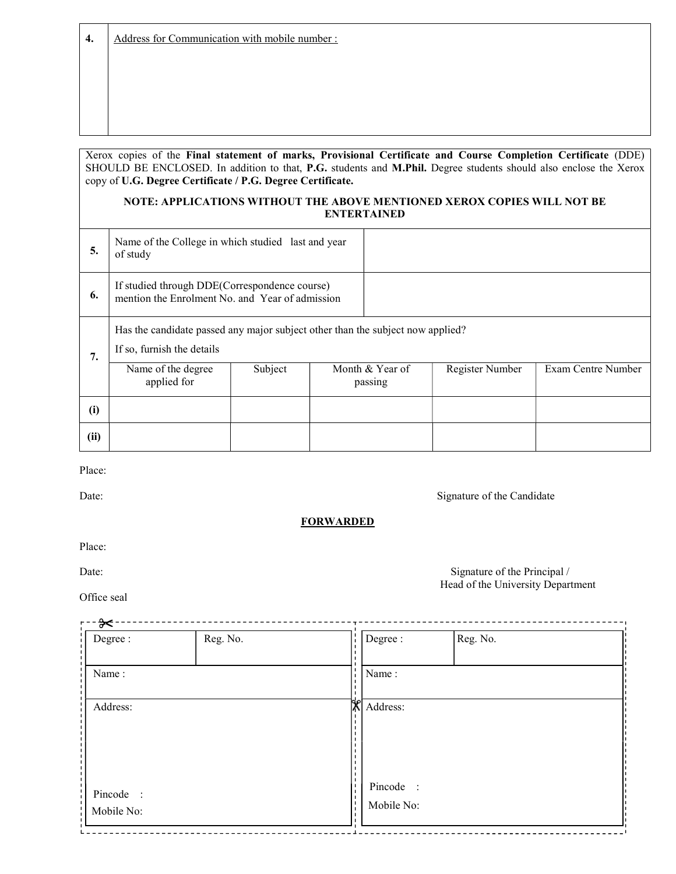4. Address for Communication with mobile number :

#### Xerox copies of the Final statement of marks, Provisional Certificate and Course Completion Certificate (DDE) SHOULD BE ENCLOSED. In addition to that, P.G. students and M.Phil. Degree students should also enclose the Xerox copy of U.G. Degree Certificate / P.G. Degree Certificate.

#### NOTE: APPLICATIONS WITHOUT THE ABOVE MENTIONED XEROX COPIES WILL NOT BE ENTERTAINED

| 5.   | Name of the College in which studied last and year<br>of study                                               |         |  |                            |                 |                    |
|------|--------------------------------------------------------------------------------------------------------------|---------|--|----------------------------|-----------------|--------------------|
| 6.   | If studied through DDE(Correspondence course)<br>mention the Enrolment No. and Year of admission             |         |  |                            |                 |                    |
| 7.   | Has the candidate passed any major subject other than the subject now applied?<br>If so, furnish the details |         |  |                            |                 |                    |
|      | Name of the degree<br>applied for                                                                            | Subject |  | Month & Year of<br>passing | Register Number | Exam Centre Number |
| (i)  |                                                                                                              |         |  |                            |                 |                    |
| (ii) |                                                                                                              |         |  |                            |                 |                    |

Place:

Date: Signature of the Candidate

#### **FORWARDED**

Place:

Office seal

Date: Signature of the Principal / Head of the University Department

| Degree :                | Reg. No. | $\blacksquare$ | Degree :                | Reg. No. |  |
|-------------------------|----------|----------------|-------------------------|----------|--|
| Name:                   |          | $\blacksquare$ | Name:                   |          |  |
| Address:                |          | Х              | Address:                |          |  |
| Pincode :<br>Mobile No: |          |                | Pincode :<br>Mobile No: |          |  |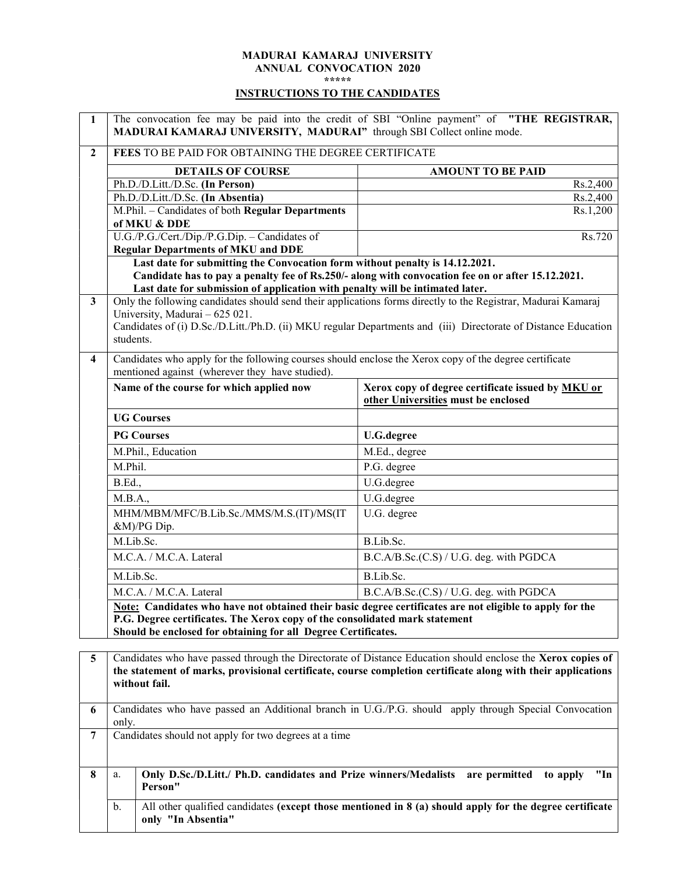### MADURAI KAMARAJ UNIVERSITY ANNUAL CONVOCATION 2020

\*\*\*\*\*

### INSTRUCTIONS TO THE CANDIDATES

 $\mathsf{r}$ 

| 1                            | MADURAI KAMARAJ UNIVERSITY, MADURAI" through SBI Collect online mode.                                                                                                                                                                                                                                                                                                                    | The convocation fee may be paid into the credit of SBI "Online payment" of "THE REGISTRAR,                                                                                                                                  |  |  |
|------------------------------|------------------------------------------------------------------------------------------------------------------------------------------------------------------------------------------------------------------------------------------------------------------------------------------------------------------------------------------------------------------------------------------|-----------------------------------------------------------------------------------------------------------------------------------------------------------------------------------------------------------------------------|--|--|
| $\boldsymbol{2}$             | FEES TO BE PAID FOR OBTAINING THE DEGREE CERTIFICATE                                                                                                                                                                                                                                                                                                                                     |                                                                                                                                                                                                                             |  |  |
|                              | <b>DETAILS OF COURSE</b>                                                                                                                                                                                                                                                                                                                                                                 | <b>AMOUNT TO BE PAID</b>                                                                                                                                                                                                    |  |  |
|                              | Ph.D./D.Litt./D.Sc. (In Person)                                                                                                                                                                                                                                                                                                                                                          | Rs.2,400                                                                                                                                                                                                                    |  |  |
|                              | Ph.D./D.Litt./D.Sc. (In Absentia)                                                                                                                                                                                                                                                                                                                                                        | Rs.2,400                                                                                                                                                                                                                    |  |  |
|                              | M.Phil. - Candidates of both Regular Departments<br>of MKU & DDE                                                                                                                                                                                                                                                                                                                         | Rs.1,200                                                                                                                                                                                                                    |  |  |
|                              | U.G./P.G./Cert./Dip./P.G.Dip. - Candidates of<br><b>Regular Departments of MKU and DDE</b>                                                                                                                                                                                                                                                                                               | Rs.720                                                                                                                                                                                                                      |  |  |
|                              | Last date for submitting the Convocation form without penalty is 14.12.2021.                                                                                                                                                                                                                                                                                                             |                                                                                                                                                                                                                             |  |  |
|                              | Last date for submission of application with penalty will be intimated later.                                                                                                                                                                                                                                                                                                            | Candidate has to pay a penalty fee of Rs.250/- along with convocation fee on or after 15.12.2021.                                                                                                                           |  |  |
| 3<br>$\overline{\mathbf{4}}$ | Only the following candidates should send their applications forms directly to the Registrar, Madurai Kamaraj<br>University, Madurai - 625 021.<br>Candidates of (i) D.Sc./D.Litt./Ph.D. (ii) MKU regular Departments and (iii) Directorate of Distance Education<br>students.<br>Candidates who apply for the following courses should enclose the Xerox copy of the degree certificate |                                                                                                                                                                                                                             |  |  |
|                              | mentioned against (wherever they have studied).                                                                                                                                                                                                                                                                                                                                          |                                                                                                                                                                                                                             |  |  |
|                              | Name of the course for which applied now                                                                                                                                                                                                                                                                                                                                                 | Xerox copy of degree certificate issued by <b>MKU</b> or<br>other Universities must be enclosed                                                                                                                             |  |  |
|                              | <b>UG Courses</b>                                                                                                                                                                                                                                                                                                                                                                        |                                                                                                                                                                                                                             |  |  |
|                              | <b>PG Courses</b>                                                                                                                                                                                                                                                                                                                                                                        | <b>U.G.degree</b>                                                                                                                                                                                                           |  |  |
|                              | M.Phil., Education                                                                                                                                                                                                                                                                                                                                                                       | M.Ed., degree                                                                                                                                                                                                               |  |  |
|                              | M.Phil.                                                                                                                                                                                                                                                                                                                                                                                  | P.G. degree                                                                                                                                                                                                                 |  |  |
|                              | <b>B.Ed.,</b>                                                                                                                                                                                                                                                                                                                                                                            | U.G.degree                                                                                                                                                                                                                  |  |  |
|                              | M.B.A.,                                                                                                                                                                                                                                                                                                                                                                                  | U.G.degree                                                                                                                                                                                                                  |  |  |
|                              | MHM/MBM/MFC/B.Lib.Sc./MMS/M.S.(IT)/MS(IT<br>&M)/PG Dip.                                                                                                                                                                                                                                                                                                                                  | U.G. degree                                                                                                                                                                                                                 |  |  |
|                              | M.Lib.Sc.                                                                                                                                                                                                                                                                                                                                                                                | B.Lib.Sc.                                                                                                                                                                                                                   |  |  |
|                              | M.C.A. / M.C.A. Lateral                                                                                                                                                                                                                                                                                                                                                                  | B.C.A/B.Sc.(C.S) / U.G. deg. with PGDCA                                                                                                                                                                                     |  |  |
|                              | M.Lib.Sc.                                                                                                                                                                                                                                                                                                                                                                                | B.Lib.Sc.                                                                                                                                                                                                                   |  |  |
|                              | M.C.A. / M.C.A. Lateral                                                                                                                                                                                                                                                                                                                                                                  | B.C.A/B.Sc.(C.S) / U.G. deg. with PGDCA                                                                                                                                                                                     |  |  |
|                              | P.G. Degree certificates. The Xerox copy of the consolidated mark statement<br>Should be enclosed for obtaining for all Degree Certificates.                                                                                                                                                                                                                                             | Note: Candidates who have not obtained their basic degree certificates are not eligible to apply for the                                                                                                                    |  |  |
| 5                            | without fail.                                                                                                                                                                                                                                                                                                                                                                            | Candidates who have passed through the Directorate of Distance Education should enclose the Xerox copies of<br>the statement of marks, provisional certificate, course completion certificate along with their applications |  |  |
| 6                            | Candidates who have passed an Additional branch in U.G./P.G. should apply through Special Convocation<br>only.                                                                                                                                                                                                                                                                           |                                                                                                                                                                                                                             |  |  |
| $\overline{7}$               | Candidates should not apply for two degrees at a time                                                                                                                                                                                                                                                                                                                                    |                                                                                                                                                                                                                             |  |  |
| 8                            | Only D.Sc./D.Litt./ Ph.D. candidates and Prize winners/Medalists are permitted<br>a.<br>Person"                                                                                                                                                                                                                                                                                          | "In<br>to apply                                                                                                                                                                                                             |  |  |
|                              | b.<br>only "In Absentia"                                                                                                                                                                                                                                                                                                                                                                 | All other qualified candidates (except those mentioned in $\mathbf{8}$ (a) should apply for the degree certificate                                                                                                          |  |  |